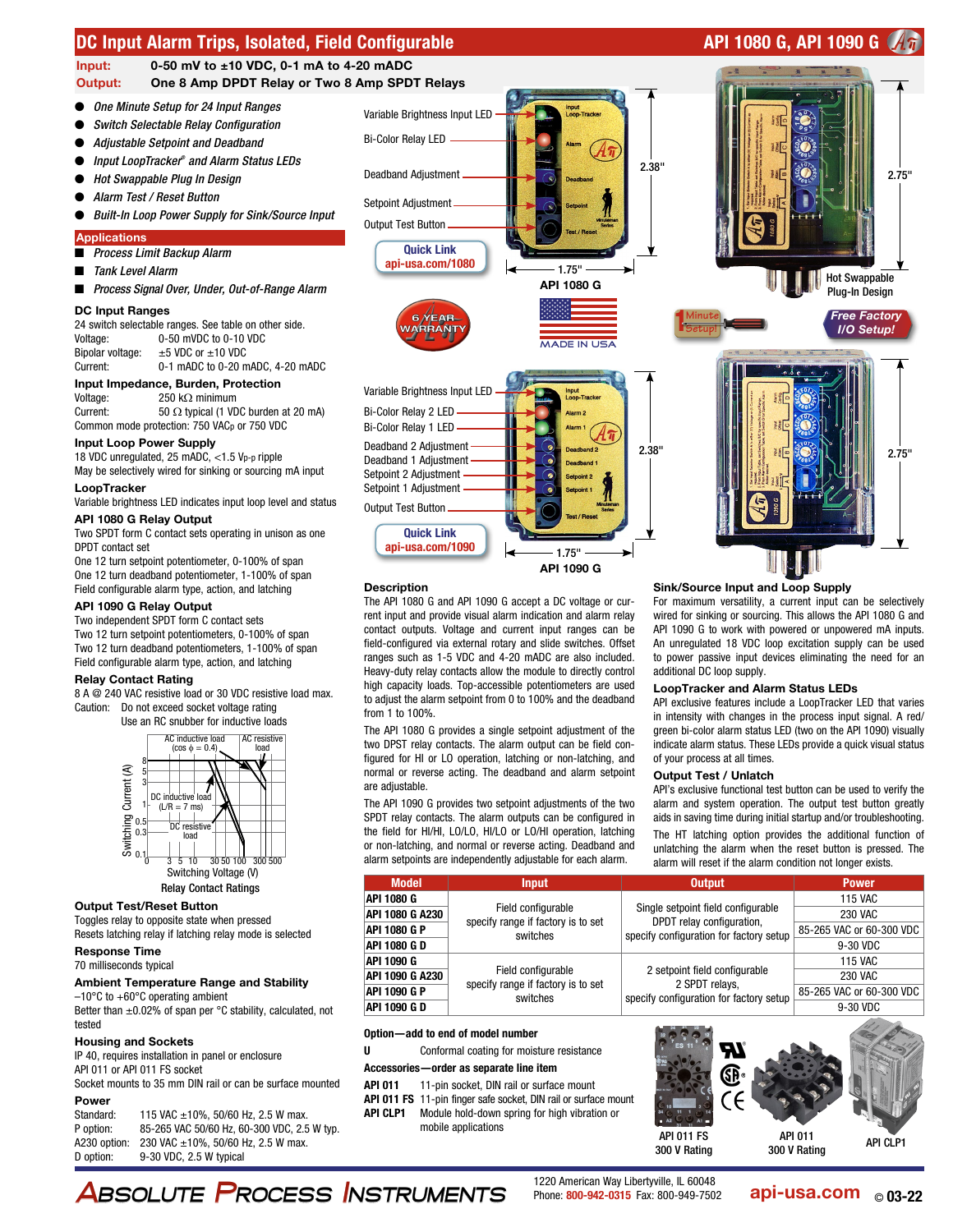

Two SPDT form C contact sets operating in unison as one DPDT contact set

One 12 turn setpoint potentiometer, 0-100% of span One 12 turn deadband potentiometer, 1-100% of span Field configurable alarm type, action, and latching

## API 1090 G Relay Output

Two independent SPDT form C contact sets Two 12 turn setpoint potentiometers, 0-100% of span Two 12 turn deadband potentiometers, 1-100% of span Field configurable alarm type, action, and latching

## Relay Contact Rating

8 A @ 240 VAC resistive load or 30 VDC resistive load max. Caution: Do not exceed socket voltage rating





#### Output Test/Reset Button

Toggles relay to opposite state when pressed Resets latching relay if latching relay mode is selected

## Response Time

70 milliseconds typical

## Ambient Temperature Range and Stability  $-10^{\circ}$ C to  $+60^{\circ}$ C operating ambient

Better than  $\pm 0.02\%$  of span per °C stability, calculated, not tested

## Housing and Sockets

IP 40, requires installation in panel or enclosure API 011 or API 011 FS socket

Socket mounts to 35 mm DIN rail or can be surface mounted Power

| Standard:    | 115 VAC $\pm$ 10%, 50/60 Hz, 2.5 W max.     |
|--------------|---------------------------------------------|
| P option:    | 85-265 VAC 50/60 Hz, 60-300 VDC, 2.5 W typ. |
| A230 option: | 230 VAC $\pm$ 10%, 50/60 Hz, 2.5 W max.     |
| D option:    | 9-30 VDC, 2.5 W typical                     |

The API 1080 G and API 1090 G accept a DC voltage or current input and provide visual alarm indication and alarm relay

api-usa.com/1090

**Description** 

contact outputs. Voltage and current input ranges can be field-configured via external rotary and slide switches. Offset ranges such as 1-5 VDC and 4-20 mADC are also included. Heavy-duty relay contacts allow the module to directly control high capacity loads. Top-accessible potentiometers are used to adjust the alarm setpoint from 0 to 100% and the deadband from 1 to 100%.

API 1090 G

1.75"

The API 1080 G provides a single setpoint adjustment of the two DPST relay contacts. The alarm output can be field configured for HI or LO operation, latching or non-latching, and normal or reverse acting. The deadband and alarm setpoint are adjustable.

The API 1090 G provides two setpoint adjustments of the two SPDT relay contacts. The alarm outputs can be configured in the field for HI/HI, LO/LO, HI/LO or LO/HI operation, latching or non-latching, and normal or reverse acting. Deadband and alarm setpoints are independently adjustable for each alarm.

Sink/Source Input and Loop Supply

For maximum versatility, a current input can be selectively wired for sinking or sourcing. This allows the API 1080 G and API 1090 G to work with powered or unpowered mA inputs. An unregulated 18 VDC loop excitation supply can be used to power passive input devices eliminating the need for an additional DC loop supply.

#### LoopTracker and Alarm Status LEDs

API exclusive features include a LoopTracker LED that varies in intensity with changes in the process input signal. A red/ green bi-color alarm status LED (two on the API 1090) visually indicate alarm status. These LEDs provide a quick visual status of your process at all times.

#### Output Test / Unlatch

API's exclusive functional test button can be used to verify the alarm and system operation. The output test button greatly aids in saving time during initial startup and/or troubleshooting.

The HT latching option provides the additional function of unlatching the alarm when the reset button is pressed. The alarm will reset if the alarm condition not longer exists.

| <b>Model</b>        | <b>Input</b>                                                         | <b>Output</b>                                                                                              | <b>Power</b>             |
|---------------------|----------------------------------------------------------------------|------------------------------------------------------------------------------------------------------------|--------------------------|
| API 1080 G          | Field configurable<br>specify range if factory is to set<br>switches | Single setpoint field configurable<br>DPDT relay configuration,<br>specify configuration for factory setup | <b>115 VAC</b>           |
| API 1080 G A230     |                                                                      |                                                                                                            | 230 VAC                  |
| <b>API 1080 G P</b> |                                                                      |                                                                                                            | 85-265 VAC or 60-300 VDC |
| <b>API 1080 G D</b> |                                                                      |                                                                                                            | 9-30 VDC                 |
| API 1090 G          | Field configurable<br>specify range if factory is to set<br>switches | 2 setpoint field configurable<br>2 SPDT relays,<br>specify configuration for factory setup                 | <b>115 VAC</b>           |
| API 1090 G A230     |                                                                      |                                                                                                            | 230 VAC                  |
| <b>API 1090 G P</b> |                                                                      |                                                                                                            | 85-265 VAC or 60-300 VDC |
| API 1090 G D        |                                                                      |                                                                                                            | 9-30 VDC                 |

## Option—add to end of model number

U **Conformal coating for moisture resistance** 

- Accessories—order as separate line item
- API 011 11-pin socket. DIN rail or surface mount
- API 011 FS 11-pin finger safe socket, DIN rail or surface mount
- API CLP1 Module hold-down spring for high vibration or
	- mobile applications